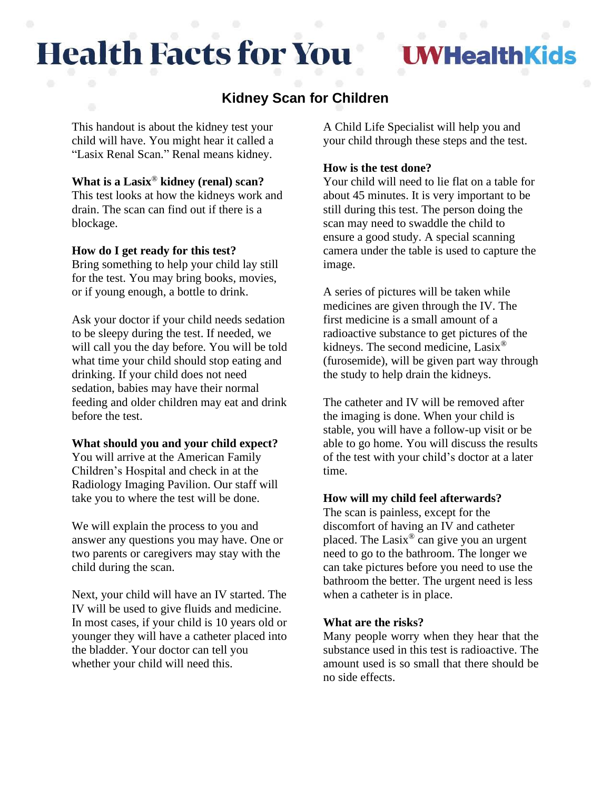# **Health Facts for You**

**VHealthKids** 

# **Kidney Scan for Children**

This handout is about the kidney test your child will have. You might hear it called a "Lasix Renal Scan." Renal means kidney.

## **What is a Lasix**® **kidney (renal) scan?**

This test looks at how the kidneys work and drain. The scan can find out if there is a blockage.

#### **How do I get ready for this test?**

Bring something to help your child lay still for the test. You may bring books, movies, or if young enough, a bottle to drink.

Ask your doctor if your child needs sedation to be sleepy during the test. If needed, we will call you the day before. You will be told what time your child should stop eating and drinking. If your child does not need sedation, babies may have their normal feeding and older children may eat and drink before the test.

#### **What should you and your child expect?**

You will arrive at the American Family Children's Hospital and check in at the Radiology Imaging Pavilion. Our staff will take you to where the test will be done.

We will explain the process to you and answer any questions you may have. One or two parents or caregivers may stay with the child during the scan.

Next, your child will have an IV started. The IV will be used to give fluids and medicine. In most cases, if your child is 10 years old or younger they will have a catheter placed into the bladder. Your doctor can tell you whether your child will need this.

A Child Life Specialist will help you and your child through these steps and the test.

#### **How is the test done?**

Your child will need to lie flat on a table for about 45 minutes. It is very important to be still during this test. The person doing the scan may need to swaddle the child to ensure a good study. A special scanning camera under the table is used to capture the image.

A series of pictures will be taken while medicines are given through the IV. The first medicine is a small amount of a radioactive substance to get pictures of the kidneys. The second medicine, Lasix<sup>®</sup> (furosemide), will be given part way through the study to help drain the kidneys.

The catheter and IV will be removed after the imaging is done. When your child is stable, you will have a follow-up visit or be able to go home. You will discuss the results of the test with your child's doctor at a later time.

### **How will my child feel afterwards?**

The scan is painless, except for the discomfort of having an IV and catheter placed. The Lasix® can give you an urgent need to go to the bathroom. The longer we can take pictures before you need to use the bathroom the better. The urgent need is less when a catheter is in place.

#### **What are the risks?**

Many people worry when they hear that the substance used in this test is radioactive. The amount used is so small that there should be no side effects.